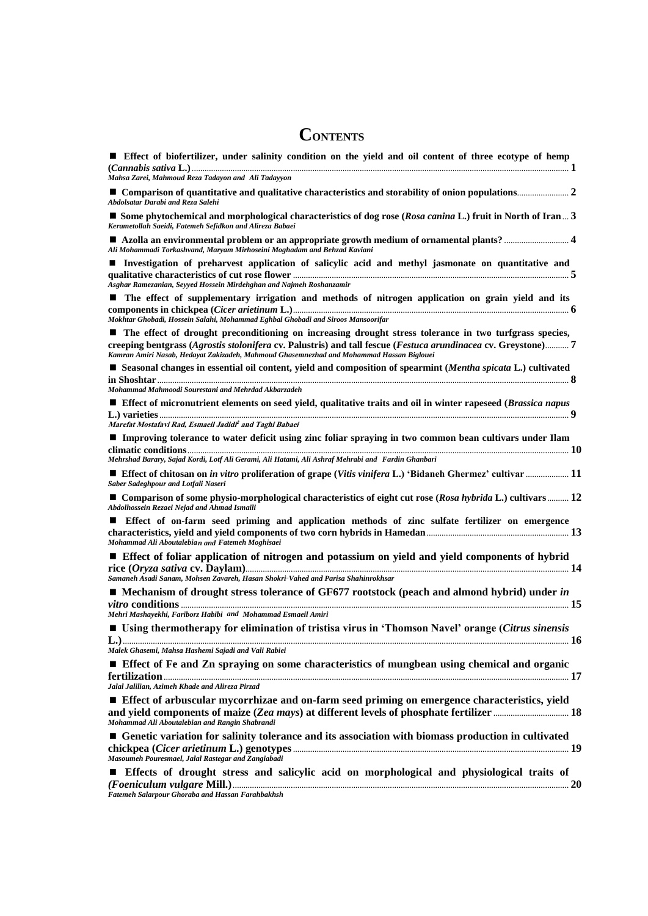# **CONTENTS**

| Effect of biofertilizer, under salinity condition on the yield and oil content of three ecotype of hemp                                                                                                                                                                                                               |
|-----------------------------------------------------------------------------------------------------------------------------------------------------------------------------------------------------------------------------------------------------------------------------------------------------------------------|
| Mahsa Zarei, Mahmoud Reza Tadayon and Ali Tadayyon                                                                                                                                                                                                                                                                    |
| Abdolsatar Darabi and Reza Salehi                                                                                                                                                                                                                                                                                     |
| ■ Some phytochemical and morphological characteristics of dog rose (Rosa canina L.) fruit in North of Iran  3<br>Kerametollah Saeidi, Fatemeh Sefidkon and Alireza Babaei                                                                                                                                             |
| Ali Mohammadi Torkashvand, Maryam Mirhoseini Moghadam and Behzad Kaviani                                                                                                                                                                                                                                              |
| Investigation of preharvest application of salicylic acid and methyl jasmonate on quantitative and<br>Asghar Ramezanian, Seyyed Hossein Mirdehghan and Najmeh Roshanzamir                                                                                                                                             |
| The effect of supplementary irrigation and methods of nitrogen application on grain yield and its                                                                                                                                                                                                                     |
| Mokhtar Ghobadi, Hossein Salahi, Mohammad Eghbal Ghobadi and Siroos Mansoorifar                                                                                                                                                                                                                                       |
| ■ The effect of drought preconditioning on increasing drought stress tolerance in two turfgrass species,<br>creeping bentgrass (Agrostis stolonifera cv. Palustris) and tall fescue (Festuca arundinacea cv. Greystone) 7<br>Kamran Amiri Nasab, Hedayat Zakizadeh, Mahmoud Ghasemnezhad and Mohammad Hassan Biglouei |
| ■ Seasonal changes in essential oil content, yield and composition of spearmint (Mentha spicata L.) cultivated                                                                                                                                                                                                        |
| Mohammad Mahmoodi Sourestani and Mehrdad Akbarzadeh                                                                                                                                                                                                                                                                   |
| <b>Effect of micronutrient elements on seed yield, qualitative traits and oil in winter rapeseed (Brassica napus</b><br>Marefat Mostafavi Rad, Esmaeil Jadidi <sup>2</sup> and Taghi Babaei                                                                                                                           |
| Improving tolerance to water deficit using zinc foliar spraying in two common bean cultivars under Ilam                                                                                                                                                                                                               |
| Mehrshad Barary, Sajad Kordi, Lotf Ali Gerami, Ali Hatami, Ali Ashraf Mehrabi and Fardin Ghanbari                                                                                                                                                                                                                     |
| Effect of chitosan on in vitro proliferation of grape (Vitis vinifera L.) 'Bidaneh Ghermez' cultivar  11<br>Saber Sadeghpour and Lotfali Naseri                                                                                                                                                                       |
| ■ Comparison of some physio-morphological characteristics of eight cut rose (Rosa hybrida L.) cultivars 12<br>Abdolhossein Rezaei Nejad and Ahmad Ismaili                                                                                                                                                             |
| <b>Exerce Effect of on-farm seed priming and application methods of zinc sulfate fertilizer on emergence</b><br>Mohammad Ali Aboutalebian and Fatemeh Moghisaei                                                                                                                                                       |
| <b>Exercise Effect of foliar application of nitrogen and potassium on yield and yield components of hybrid</b>                                                                                                                                                                                                        |
| Samaneh Asadi Sanam, Mohsen Zavareh, Hasan Shokri-Vahed and Parisa Shahinrokhsar                                                                                                                                                                                                                                      |
| ■ Mechanism of drought stress tolerance of GF677 rootstock (peach and almond hybrid) under in                                                                                                                                                                                                                         |
| Mehri Mashayekhi, Fariborz Habibi and Mohammad Esmaeil Amiri                                                                                                                                                                                                                                                          |
| ■ Using thermotherapy for elimination of tristisa virus in 'Thomson Navel' orange (Citrus sinensis                                                                                                                                                                                                                    |
| Malek Ghasemi, Mahsa Hashemi Sajadi and Vali Rabiei                                                                                                                                                                                                                                                                   |
| <b>Effect of Fe and Zn spraying on some characteristics of mungbean using chemical and organic</b>                                                                                                                                                                                                                    |
| Jalal Jalilian, Azimeh Khade and Alireza Pirzad                                                                                                                                                                                                                                                                       |
| Effect of arbuscular mycorrhizae and on-farm seed priming on emergence characteristics, yield<br>Mohammad Ali Aboutalebian and Rangin Shabrandi                                                                                                                                                                       |
| <b>E</b> Genetic variation for salinity tolerance and its association with biomass production in cultivated                                                                                                                                                                                                           |
| Masoumeh Pouresmael, Jalal Rastegar and Zangiabadi                                                                                                                                                                                                                                                                    |
| <b>Exercise Effects</b> of drought stress and salicylic acid on morphological and physiological traits of                                                                                                                                                                                                             |
| Fatemeh Salarpour Ghoraba and Hassan Farahbakhsh                                                                                                                                                                                                                                                                      |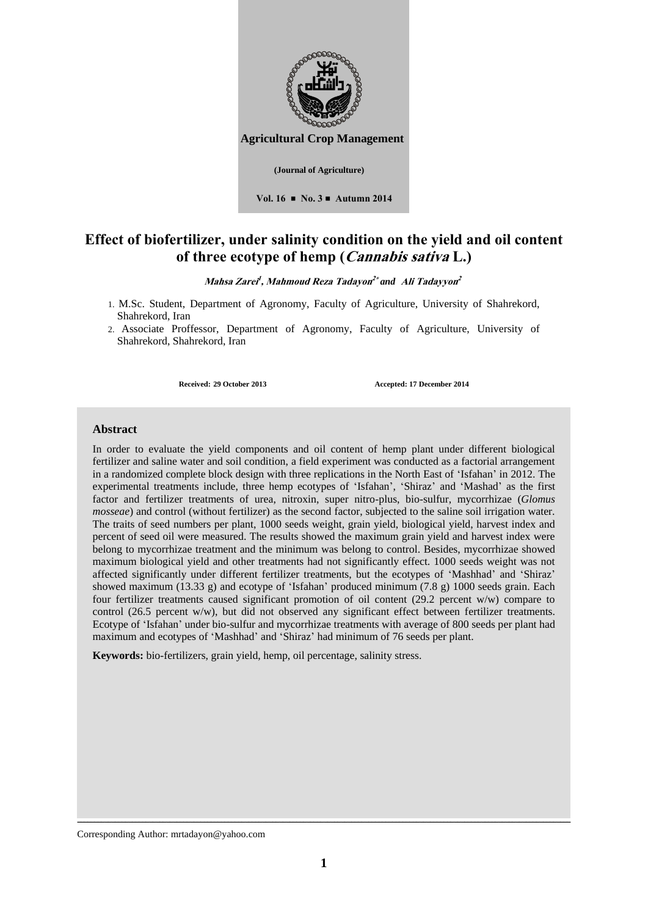

# **Effect of biofertilizer, under salinity condition on the yield and oil content of three ecotype of hemp (Cannabis sativa L.)**

### **Mahsa Zarei 1 , Mahmoud Reza Tadayon <sup>2</sup> Ali Tadayyon 2**  *and*

- 1. M.Sc. Student, Department of Agronomy, Faculty of Agriculture, University of Shahrekord, Shahrekord, Iran
- 2. Associate Proffessor, Department of Agronomy, Faculty of Agriculture, University of Shahrekord, Shahrekord, Iran

**Received: 29 October 2013 Accepted: 17 December 2014**

### **Abstract**

In order to evaluate the yield components and oil content of hemp plant under different biological fertilizer and saline water and soil condition, a field experiment was conducted as a factorial arrangement in a randomized complete block design with three replications in the North East of 'Isfahan' in 2012. The experimental treatments include, three hemp ecotypes of 'Isfahan', 'Shiraz' and 'Mashad' as the first factor and fertilizer treatments of urea, nitroxin, super nitro-plus, bio-sulfur, mycorrhizae (*Glomus mosseae*) and control (without fertilizer) as the second factor, subjected to the saline soil irrigation water. The traits of seed numbers per plant, 1000 seeds weight, grain yield, biological yield, harvest index and percent of seed oil were measured. The results showed the maximum grain yield and harvest index were belong to mycorrhizae treatment and the minimum was belong to control. Besides, mycorrhizae showed maximum biological yield and other treatments had not significantly effect. 1000 seeds weight was not affected significantly under different fertilizer treatments, but the ecotypes of 'Mashhad' and 'Shiraz' showed maximum (13.33 g) and ecotype of 'Isfahan' produced minimum (7.8 g) 1000 seeds grain. Each four fertilizer treatments caused significant promotion of oil content (29.2 percent w/w) compare to control (26.5 percent w/w), but did not observed any significant effect between fertilizer treatments. Ecotype of 'Isfahan' under bio-sulfur and mycorrhizae treatments with average of 800 seeds per plant had maximum and ecotypes of 'Mashhad' and 'Shiraz' had minimum of 76 seeds per plant.

**Keywords:** bio-fertilizers, grain yield, hemp, oil percentage, salinity stress.

Corresponding Author: mrtadayon@yahoo.com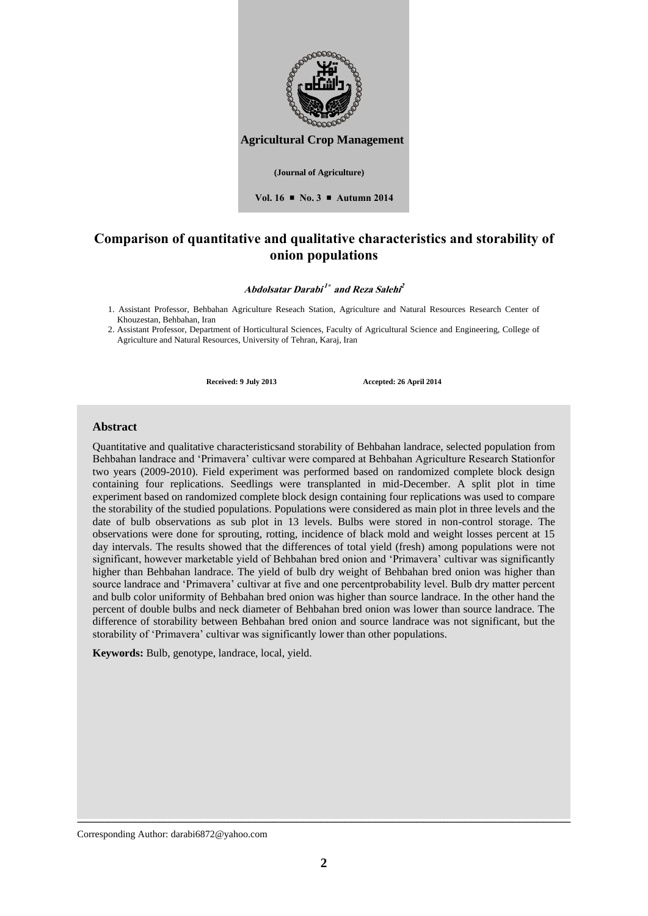

### **Comparison of quantitative and qualitative characteristics and storability of onion populations**

**Abdolsatar Darabi 1 and Reza Salehi 2**

1. Assistant Professor, Behbahan Agriculture Reseach Station, Agriculture and Natural Resources Research Center of Khouzestan, Behbahan, Iran

2. Assistant Professor, Department of Horticultural Sciences, Faculty of Agricultural Science and Engineering, College of Agriculture and Natural Resources, University of Tehran, Karaj, Iran

**Received: 9 July 2013 Accepted: 26 April 2014**

#### **Abstract**

Quantitative and qualitative characteristicsand storability of Behbahan landrace, selected population from Behbahan landrace and 'Primavera' cultivar were compared at Behbahan Agriculture Research Stationfor two years (2009-2010). Field experiment was performed based on randomized complete block design containing four replications. Seedlings were transplanted in mid-December. A split plot in time experiment based on randomized complete block design containing four replications was used to compare the storability of the studied populations. Populations were considered as main plot in three levels and the date of bulb observations as sub plot in 13 levels. Bulbs were stored in non-control storage. The observations were done for sprouting, rotting, incidence of black mold and weight losses percent at 15 day intervals. The results showed that the differences of total yield (fresh) among populations were not significant, however marketable yield of Behbahan bred onion and 'Primavera' cultivar was significantly higher than Behbahan landrace. The yield of bulb dry weight of Behbahan bred onion was higher than source landrace and 'Primavera' cultivar at five and one percentprobability level. Bulb dry matter percent and bulb color uniformity of Behbahan bred onion was higher than source landrace. In the other hand the percent of double bulbs and neck diameter of Behbahan bred onion was lower than source landrace. The difference of storability between Behbahan bred onion and source landrace was not significant, but the storability of 'Primavera' cultivar was significantly lower than other populations.

**Keywords:** Bulb, genotype, landrace, local, yield.

Corresponding Author: darabi6872@yahoo.com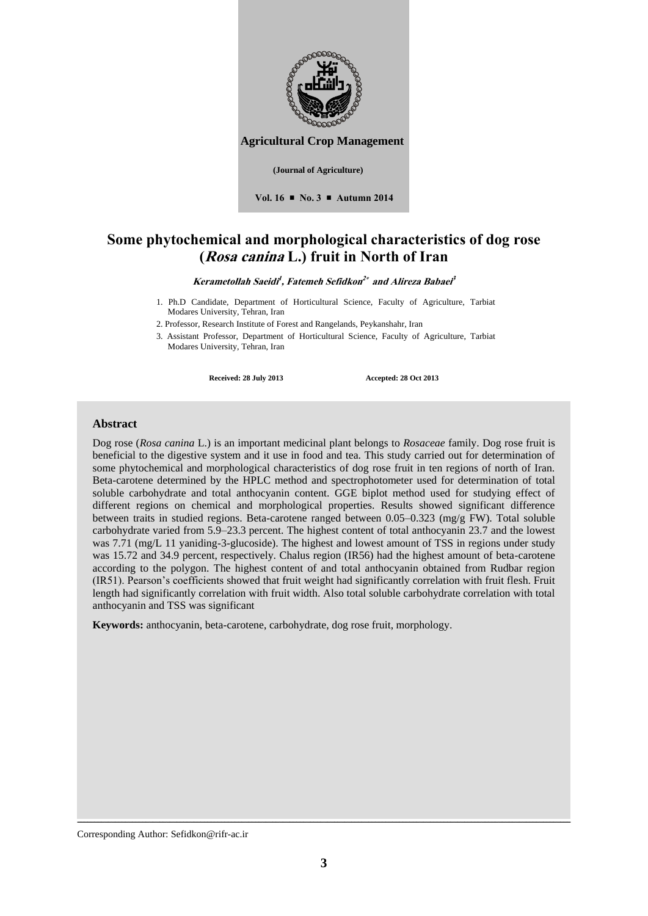

**Vol. 16 No. 3 Autumn 2014**

# **Some phytochemical and morphological characteristics of dog rose (Rosa canina L.) fruit in North of Iran**

**Kerametollah Saeidi 1 , Fatemeh Sefidkon 2 and Alireza Babaei 3**

- 1. Ph.D Candidate, Department of Horticultural Science, Faculty of Agriculture, Tarbiat Modares University, Tehran, Iran
- 2. Professor, Research Institute of Forest and Rangelands, Peykanshahr, Iran
- 3. Assistant Professor, Department of Horticultural Science, Faculty of Agriculture, Tarbiat Modares University, Tehran, Iran

**Received: 28 July 2013 Accepted: 28 Oct 2013**

### **Abstract**

Dog rose (*Rosa canina* L.) is an important medicinal plant belongs to *Rosaceae* family. Dog rose fruit is beneficial to the digestive system and it use in food and tea. This study carried out for determination of some phytochemical and morphological characteristics of dog rose fruit in ten regions of north of Iran. Beta-carotene determined by the HPLC method and spectrophotometer used for determination of total soluble carbohydrate and total anthocyanin content. GGE biplot method used for studying effect of different regions on chemical and morphological properties. Results showed significant difference between traits in studied regions. Beta-carotene ranged between 0.05–0.323 (mg/g FW). Total soluble carbohydrate varied from 5.9–23.3 percent. The highest content of total anthocyanin 23.7 and the lowest was 7.71 (mg/L 11 yaniding-3-glucoside). The highest and lowest amount of TSS in regions under study was 15.72 and 34.9 percent, respectively. Chalus region (IR56) had the highest amount of beta-carotene according to the polygon. The highest content of and total anthocyanin obtained from Rudbar region (IR51). Pearson's coefficients showed that fruit weight had significantly correlation with fruit flesh. Fruit length had significantly correlation with fruit width. Also total soluble carbohydrate correlation with total anthocyanin and TSS was significant

**Keywords:** anthocyanin, beta-carotene, carbohydrate, dog rose fruit, morphology.

Corresponding Author: Sefidkon@rifr-ac.ir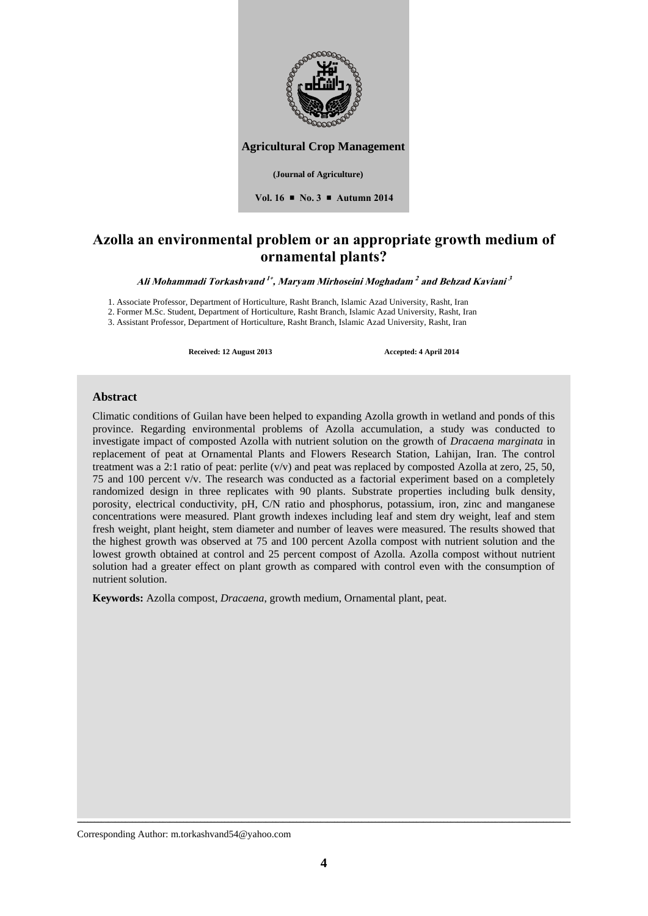

**Agricultural Crop Management** 

**Vol. 16 No. 3 Autumn 2014**

## **Azolla an environmental problem or an appropriate growth medium of ornamental plants?**

Ali Mohammadi Torkashvand <sup>1</sup>\*, Maryam Mirhoseini Moghadam <sup>2</sup> and Behzad Kaviani <sup>3</sup>

1. Associate Professor, Department of Horticulture, Rasht Branch, Islamic Azad University, Rasht, Iran

2. Former M.Sc. Student, Department of Horticulture, Rasht Branch, Islamic Azad University, Rasht, Iran

3. Assistant Professor, Department of Horticulture, Rasht Branch, Islamic Azad University, Rasht, Iran

**Received: 12 August 2013 Accepted: 4 April 2014**

### **Abstract**

Climatic conditions of Guilan have been helped to expanding Azolla growth in wetland and ponds of this province. Regarding environmental problems of Azolla accumulation, a study was conducted to investigate impact of composted Azolla with nutrient solution on the growth of *Dracaena marginata* in replacement of peat at Ornamental Plants and Flowers Research Station, Lahijan, Iran. The control treatment was a 2:1 ratio of peat: perlite  $(v/v)$  and peat was replaced by composted Azolla at zero, 25, 50, 75 and 100 percent v/v. The research was conducted as a factorial experiment based on a completely randomized design in three replicates with 90 plants. Substrate properties including bulk density, porosity, electrical conductivity, pH, C/N ratio and phosphorus, potassium, iron, zinc and manganese concentrations were measured. Plant growth indexes including leaf and stem dry weight, leaf and stem fresh weight, plant height, stem diameter and number of leaves were measured. The results showed that the highest growth was observed at 75 and 100 percent Azolla compost with nutrient solution and the lowest growth obtained at control and 25 percent compost of Azolla. Azolla compost without nutrient solution had a greater effect on plant growth as compared with control even with the consumption of nutrient solution.

**Keywords:** Azolla compost, *Dracaena*, growth medium, Ornamental plant, peat.

Corresponding Author: m.torkashvand54@yahoo.com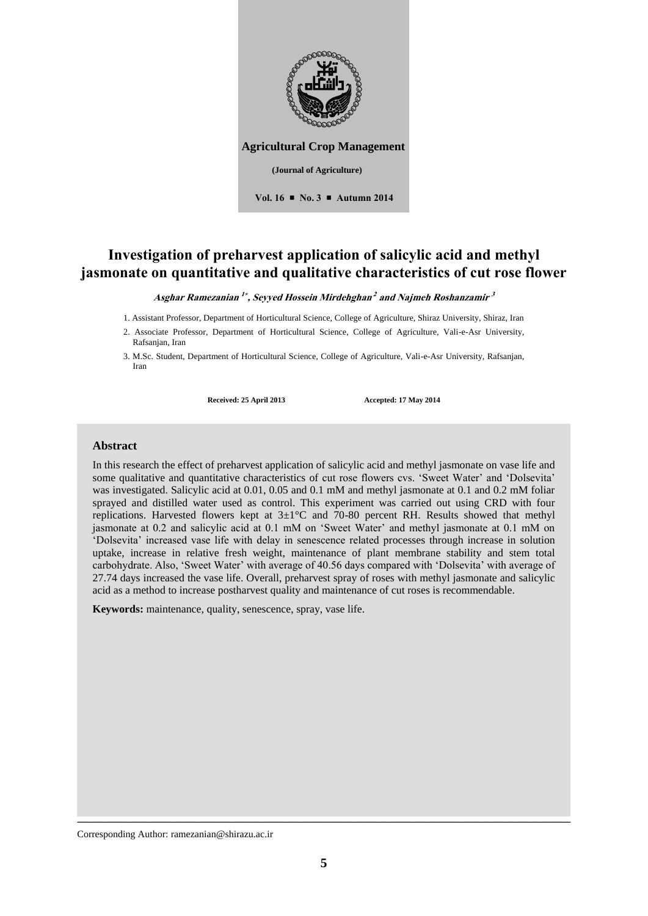

# **Investigation of preharvest application of salicylic acid and methyl jasmonate on quantitative and qualitative characteristics of cut rose flower**

**Asghar Ramezanian 1 , Seyyed Hossein Mirdehghan 2 and Najmeh Roshanzamir 3**

1. Assistant Professor, Department of Horticultural Science, College of Agriculture, Shiraz University, Shiraz, Iran

2. Associate Professor, Department of Horticultural Science, College of Agriculture, Vali-e-Asr University, Rafsanjan, Iran

3. M.Sc. Student, Department of Horticultural Science, College of Agriculture, Vali-e-Asr University, Rafsanjan, Iran

**Received: 25 April 2013 Accepted: 17 May 2014**

#### **Abstract**

In this research the effect of preharvest application of salicylic acid and methyl jasmonate on vase life and some qualitative and quantitative characteristics of cut rose flowers cvs. 'Sweet Water' and 'Dolsevita' was investigated. Salicylic acid at 0.01, 0.05 and 0.1 mM and methyl jasmonate at 0.1 and 0.2 mM foliar sprayed and distilled water used as control. This experiment was carried out using CRD with four replications. Harvested flowers kept at  $3\pm1^{\circ}$ C and 70-80 percent RH. Results showed that methyl jasmonate at 0.2 and salicylic acid at 0.1 mM on 'Sweet Water' and methyl jasmonate at 0.1 mM on 'Dolsevita' increased vase life with delay in senescence related processes through increase in solution uptake, increase in relative fresh weight, maintenance of plant membrane stability and stem total carbohydrate. Also, 'Sweet Water' with average of 40.56 days compared with 'Dolsevita' with average of 27.74 days increased the vase life. Overall, preharvest spray of roses with methyl jasmonate and salicylic acid as a method to increase postharvest quality and maintenance of cut roses is recommendable.

**Keywords:** maintenance, quality, senescence, spray, vase life.

Corresponding Author: ramezanian@shirazu.ac.ir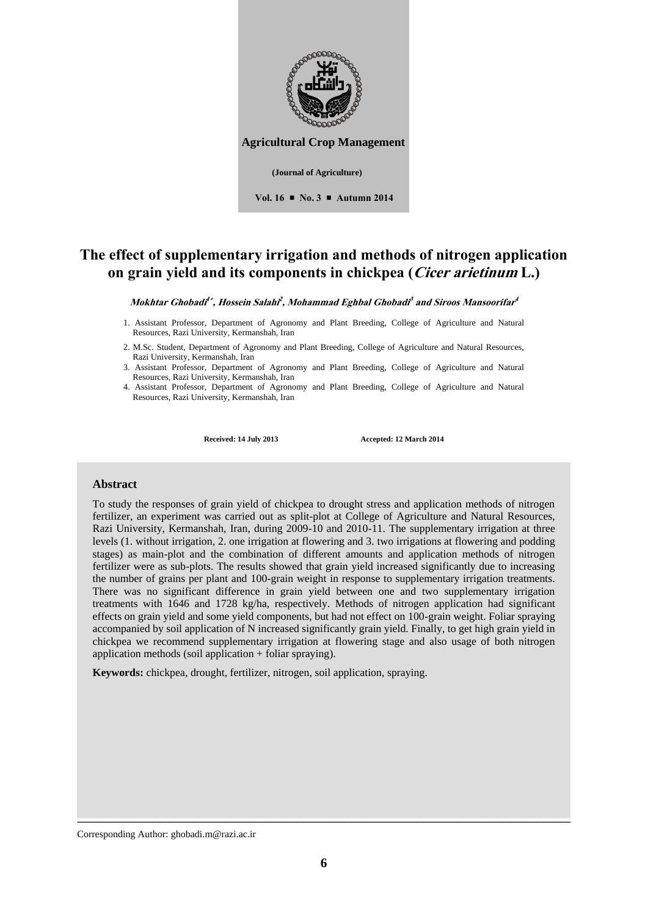

# **The effect of supplementary irrigation and methods of nitrogen application on grain yield and its components in chickpea (Cicer arietinum L.)**

 $M$ okhtar Ghobadi<sup>1\*</sup>, Hossein Salahi<sup>2</sup>, Mohammad Eghbal Ghobadi<sup>3</sup> and Siroos Mansoorifar<sup>4</sup>

- 1. Assistant Professor, Department of Agronomy and Plant Breeding, College of Agriculture and Natural Resources, Razi University, Kermanshah, Iran
- 2. M.Sc. Student, Department of Agronomy and Plant Breeding, College of Agriculture and Natural Resources, Razi University, Kermanshah, Iran
- 3. Assistant Professor, Department of Agronomy and Plant Breeding, College of Agriculture and Natural Resources, Razi University, Kermanshah, Iran
- 4. Assistant Professor, Department of Agronomy and Plant Breeding, College of Agriculture and Natural Resources, Razi University, Kermanshah, Iran

**Received: 14 July 2013 Accepted: 12 March 2014**

### **Abstract**

To study the responses of grain yield of chickpea to drought stress and application methods of nitrogen fertilizer, an experiment was carried out as split-plot at College of Agriculture and Natural Resources, Razi University, Kermanshah, Iran, during 2009-10 and 2010-11. The supplementary irrigation at three levels (1. without irrigation, 2. one irrigation at flowering and 3. two irrigations at flowering and podding stages) as main-plot and the combination of different amounts and application methods of nitrogen fertilizer were as sub-plots. The results showed that grain yield increased significantly due to increasing the number of grains per plant and 100-grain weight in response to supplementary irrigation treatments. There was no significant difference in grain yield between one and two supplementary irrigation treatments with 1646 and 1728 kg/ha, respectively. Methods of nitrogen application had significant effects on grain yield and some yield components, but had not effect on 100-grain weight. Foliar spraying accompanied by soil application of N increased significantly grain yield. Finally, to get high grain yield in chickpea we recommend supplementary irrigation at flowering stage and also usage of both nitrogen application methods (soil application + foliar spraying).

**Keywords:** chickpea, drought, fertilizer, nitrogen, soil application, spraying.

Corresponding Author: ghobadi.m@razi.ac.ir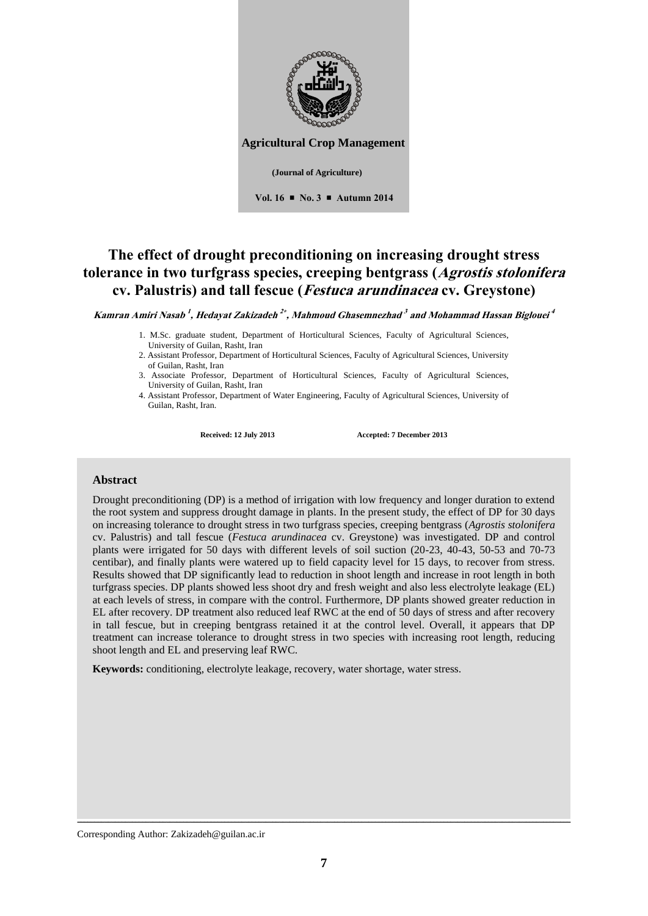

# **The effect of drought preconditioning on increasing drought stress tolerance in two turfgrass species, creeping bentgrass (Agrostis stolonifera cv. Palustris) and tall fescue (Festuca arundinacea cv. Greystone)**

**Kamran Amiri Nasab 1 , Hedayat Zakizadeh 2 , Mahmoud Ghasemnezhad 3 and Mohammad Hassan Biglouei 4**

- 1. M.Sc. graduate student, Department of Horticultural Sciences, Faculty of Agricultural Sciences, University of Guilan, Rasht, Iran
- 2. Assistant Professor, Department of Horticultural Sciences, Faculty of Agricultural Sciences, University of Guilan, Rasht, Iran
- 3. Associate Professor, Department of Horticultural Sciences, Faculty of Agricultural Sciences, University of Guilan, Rasht, Iran
- 4. Assistant Professor, Department of Water Engineering, Faculty of Agricultural Sciences, University of Guilan, Rasht, Iran.

**Received: 12 July 2013 Accepted: 7 December 2013**

#### **Abstract**

Drought preconditioning (DP) is a method of irrigation with low frequency and longer duration to extend the root system and suppress drought damage in plants. In the present study, the effect of DP for 30 days on increasing tolerance to drought stress in two turfgrass species, creeping bentgrass (*Agrostis stolonifera* cv. Palustris) and tall fescue (*Festuca arundinacea* cv. Greystone) was investigated. DP and control plants were irrigated for 50 days with different levels of soil suction (20-23, 40-43, 50-53 and 70-73 centibar), and finally plants were watered up to field capacity level for 15 days, to recover from stress. Results showed that DP significantly lead to reduction in shoot length and increase in root length in both turfgrass species. DP plants showed less shoot dry and fresh weight and also less electrolyte leakage (EL) at each levels of stress, in compare with the control. Furthermore, DP plants showed greater reduction in EL after recovery. DP treatment also reduced leaf RWC at the end of 50 days of stress and after recovery in tall fescue, but in creeping bentgrass retained it at the control level. Overall, it appears that DP treatment can increase tolerance to drought stress in two species with increasing root length, reducing shoot length and EL and preserving leaf RWC.

**Keywords:** conditioning, electrolyte leakage, recovery, water shortage, water stress.

Corresponding Author: Zakizadeh@guilan.ac.ir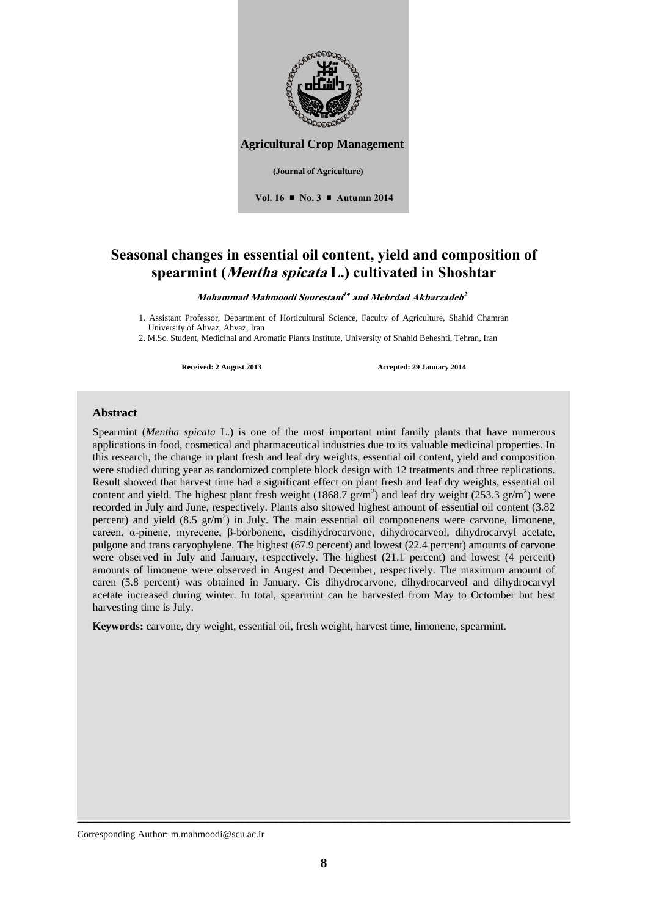

**Agricultural Crop Management** 

**Vol. 16 No. 3 Autumn 2014**

### **Seasonal changes in essential oil content, yield and composition of spearmint (Mentha spicata L.) cultivated in Shoshtar**

**Mohammad Mahmoodi Sourestani 1 and Mehrdad Akbarzadeh 2**

1. Assistant Professor, Department of Horticultural Science, Faculty of Agriculture, Shahid Chamran University of Ahvaz, Ahvaz, Iran

2. M.Sc. Student, Medicinal and Aromatic Plants Institute, University of Shahid Beheshti, Tehran, Iran

**Received: 2 August 2013 Accepted: 29 January 2014**

### **Abstract**

Spearmint (*Mentha spicata* L.) is one of the most important mint family plants that have numerous applications in food, cosmetical and pharmaceutical industries due to its valuable medicinal properties. In this research, the change in plant fresh and leaf dry weights, essential oil content, yield and composition were studied during year as randomized complete block design with 12 treatments and three replications. Result showed that harvest time had a significant effect on plant fresh and leaf dry weights, essential oil content and yield. The highest plant fresh weight (1868.7  $\text{gr/m}^2$ ) and leaf dry weight (253.3  $\text{gr/m}^2$ ) were recorded in July and June, respectively. Plants also showed highest amount of essential oil content (3.82 percent) and yield  $(8.5 \text{ gr/m}^2)$  in July. The main essential oil componenens were carvone, limonene, careen, α-pinene, myrecene, β-borbonene, cisdihydrocarvone, dihydrocarveol, dihydrocarvyl acetate, pulgone and trans caryophylene. The highest (67.9 percent) and lowest (22.4 percent) amounts of carvone were observed in July and January, respectively. The highest (21.1 percent) and lowest (4 percent) amounts of limonene were observed in Augest and December, respectively. The maximum amount of caren (5.8 percent) was obtained in January. Cis dihydrocarvone, dihydrocarveol and dihydrocarvyl acetate increased during winter. In total, spearmint can be harvested from May to Octomber but best harvesting time is July.

**Keywords:** carvone, dry weight, essential oil, fresh weight, harvest time, limonene, spearmint.

Corresponding Author: m.mahmoodi@scu.ac.ir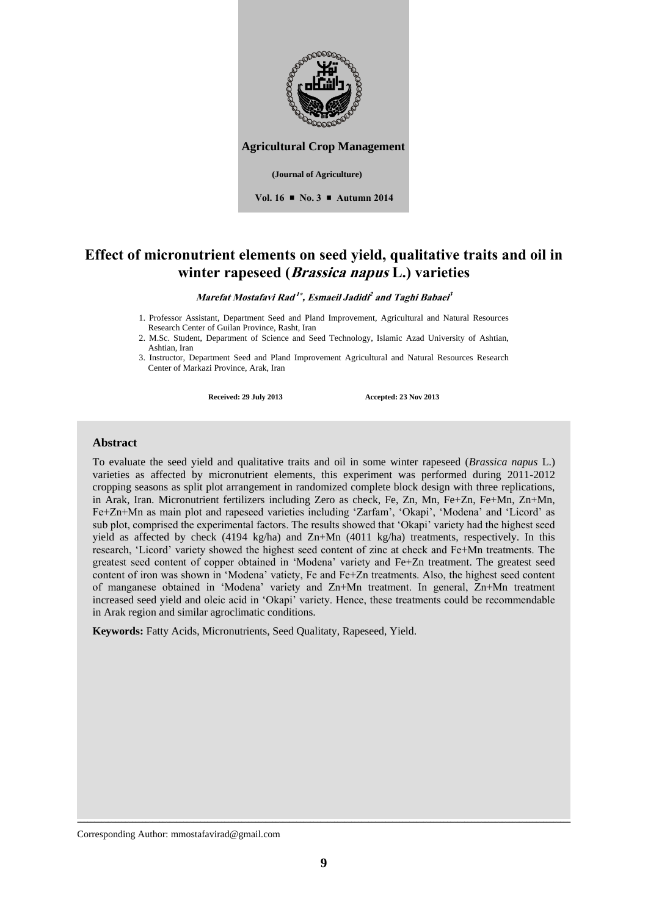

**Agricultural Crop Management** 

**Vol. 16 No. 3 Autumn 2014**

# **Effect of micronutrient elements on seed yield, qualitative traits and oil in winter rapeseed (Brassica napus L.) varieties**

**Marefat Mostafavi Rad 1 , Esmaeil Jadidi 2 and Taghi Babaei 3**

- 1. Professor Assistant, Department Seed and Pland Improvement, Agricultural and Natural Resources Research Center of Guilan Province, Rasht, Iran
- 2. M.Sc. Student, Department of Science and Seed Technology, Islamic Azad University of Ashtian, Ashtian, Iran

3. Instructor, Department Seed and Pland Improvement Agricultural and Natural Resources Research Center of Markazi Province, Arak, Iran

**Received: 29 July 2013 Accepted: 23 Nov 2013**

### **Abstract**

To evaluate the seed yield and qualitative traits and oil in some winter rapeseed (*Brassica napus* L.) varieties as affected by micronutrient elements, this experiment was performed during 2011-2012 cropping seasons as split plot arrangement in randomized complete block design with three replications, in Arak, Iran. Micronutrient fertilizers including Zero as check, Fe, Zn, Mn, Fe+Zn, Fe+Mn, Zn+Mn, Fe+Zn+Mn as main plot and rapeseed varieties including 'Zarfam', 'Okapi', 'Modena' and 'Licord' as sub plot, comprised the experimental factors. The results showed that 'Okapi' variety had the highest seed yield as affected by check (4194 kg/ha) and Zn+Mn (4011 kg/ha) treatments, respectively. In this research, 'Licord' variety showed the highest seed content of zinc at check and Fe+Mn treatments. The greatest seed content of copper obtained in 'Modena' variety and Fe+Zn treatment. The greatest seed content of iron was shown in 'Modena' vatiety, Fe and Fe+Zn treatments. Also, the highest seed content of manganese obtained in 'Modena' variety and Zn+Mn treatment. In general, Zn+Mn treatment increased seed yield and oleic acid in 'Okapi' variety. Hence, these treatments could be recommendable in Arak region and similar agroclimatic conditions.

**Keywords:** Fatty Acids, Micronutrients, Seed Qualitaty, Rapeseed, Yield.

Corresponding Author: mmostafavirad@gmail.com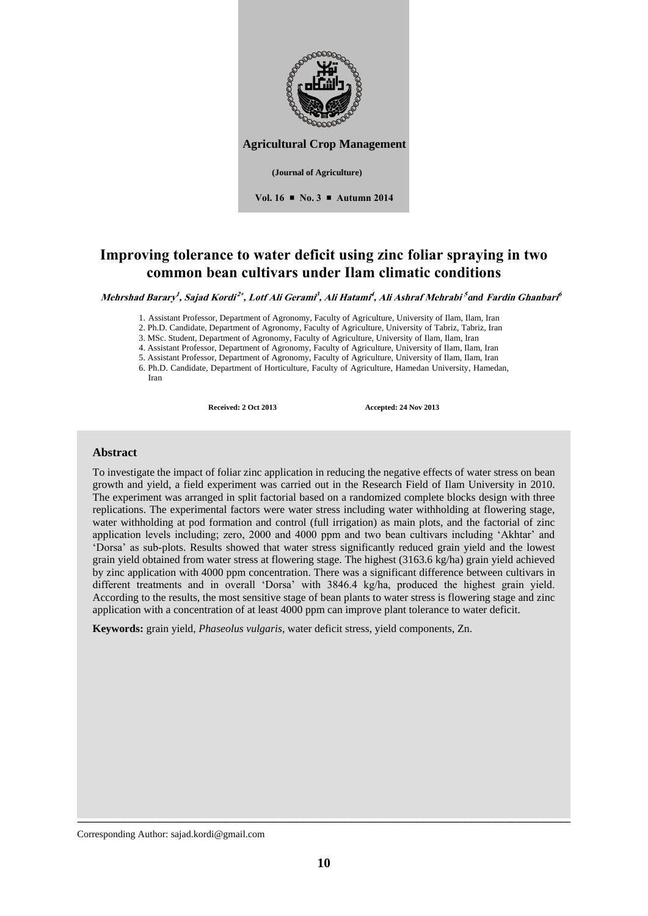

**Agricultural Crop Management** 

**(Journal of Agriculture)** 

**Vol. 16 No. 3 Autumn 2014**

# **Improving tolerance to water deficit using zinc foliar spraying in two common bean cultivars under Ilam climatic conditions**

Mehrshad Barary<sup>1</sup>, Sajad Kordi<sup>2\*</sup>, Lotf Ali Gerami<sup>3</sup>, Ali Hatami<sup>4</sup>, Ali Ashraf Mehrabi<sup>5</sup>and Fardin Ghanbari<sup>6</sup>

1. Assistant Professor, Department of Agronomy, Faculty of Agriculture, University of Ilam, Ilam, Iran

2. Ph.D. Candidate, Department of Agronomy, Faculty of Agriculture, University of Tabriz, Tabriz, Iran

3. MSc. Student, Department of Agronomy, Faculty of Agriculture, University of Ilam, Ilam, Iran

4. Assistant Professor, Department of Agronomy, Faculty of Agriculture, University of Ilam, Ilam, Iran

5. Assistant Professor, Department of Agronomy, Faculty of Agriculture, University of Ilam, Ilam, Iran

6. Ph.D. Candidate, Department of Horticulture, Faculty of Agriculture, Hamedan University, Hamedan,

Iran

**Received: 2 Oct 2013 Accepted: 24 Nov 2013**

### **Abstract**

To investigate the impact of foliar zinc application in reducing the negative effects of water stress on bean growth and yield, a field experiment was carried out in the Research Field of Ilam University in 2010. The experiment was arranged in split factorial based on a randomized complete blocks design with three replications. The experimental factors were water stress including water withholding at flowering stage, water withholding at pod formation and control (full irrigation) as main plots, and the factorial of zinc application levels including; zero, 2000 and 4000 ppm and two bean cultivars including 'Akhtar' and 'Dorsa' as sub-plots. Results showed that water stress significantly reduced grain yield and the lowest grain yield obtained from water stress at flowering stage. The highest (3163.6 kg/ha) grain yield achieved by zinc application with 4000 ppm concentration. There was a significant difference between cultivars in different treatments and in overall 'Dorsa' with 3846.4 kg/ha, produced the highest grain yield. According to the results, the most sensitive stage of bean plants to water stress is flowering stage and zinc application with a concentration of at least 4000 ppm can improve plant tolerance to water deficit.

**Keywords:** grain yield, *Phaseolus vulgaris*, water deficit stress, yield components, Zn.

Corresponding Author: sajad.kordi@gmail.com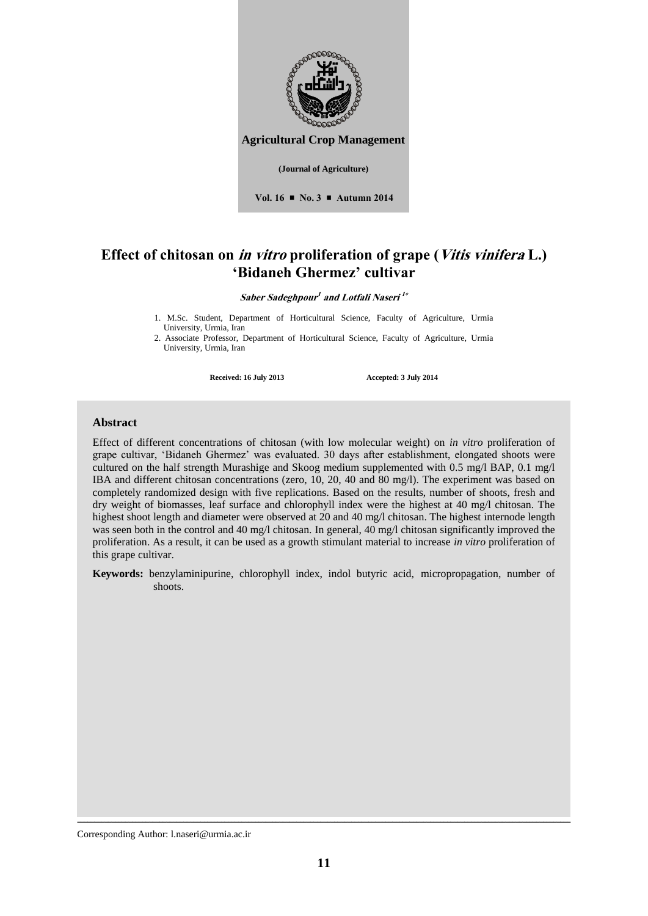

## **Effect of chitosan on in vitro proliferation of grape (Vitis vinifera L.) 'Bidaneh Ghermez' cultivar**

 $S$ aber Sadeghpour<sup>1</sup> and Lotfali Naseri<sup>1</sup>\*

1. M.Sc. Student, Department of Horticultural Science, Faculty of Agriculture, Urmia University, Urmia, Iran

2. Associate Professor, Department of Horticultural Science, Faculty of Agriculture, Urmia University, Urmia, Iran

**Received: 16 July 2013 Accepted: 3 July 2014**

### **Abstract**

Effect of different concentrations of chitosan (with low molecular weight) on *in vitro* proliferation of grape cultivar, 'Bidaneh Ghermez' was evaluated. 30 days after establishment, elongated shoots were cultured on the half strength Murashige and Skoog medium supplemented with 0.5 mg/l BAP, 0.1 mg/l IBA and different chitosan concentrations (zero, 10, 20, 40 and 80 mg/l). The experiment was based on completely randomized design with five replications. Based on the results, number of shoots, fresh and dry weight of biomasses, leaf surface and chlorophyll index were the highest at 40 mg/l chitosan. The highest shoot length and diameter were observed at 20 and 40 mg/l chitosan. The highest internode length was seen both in the control and 40 mg/l chitosan. In general, 40 mg/l chitosan significantly improved the proliferation. As a result, it can be used as a growth stimulant material to increase *in vitro* proliferation of this grape cultivar.

**Keywords:** benzylaminipurine, chlorophyll index, indol butyric acid, micropropagation, number of shoots.

Corresponding Author: l.naseri@urmia.ac.ir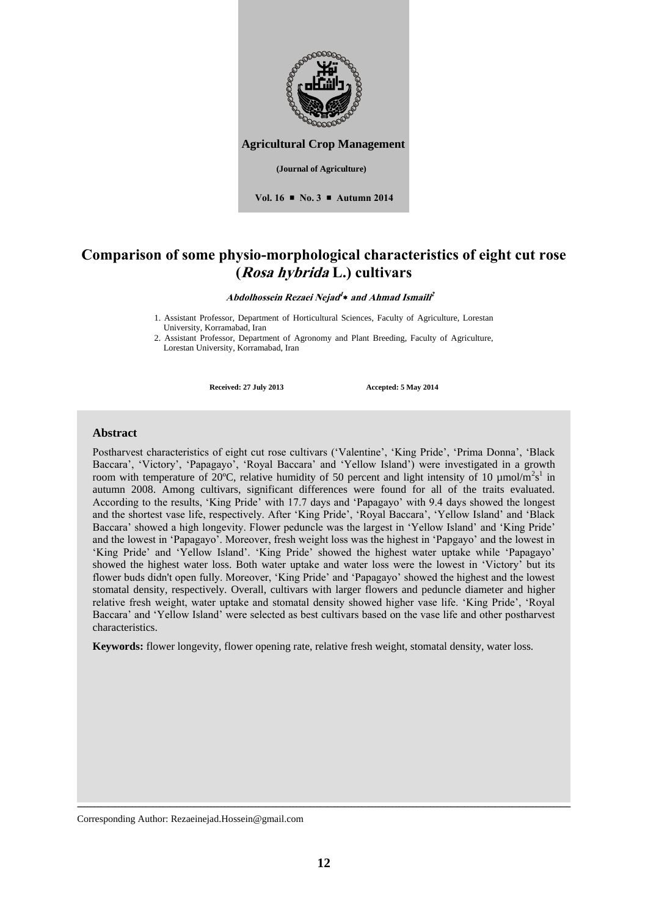

# **Comparison of some physio-morphological characteristics of eight cut rose (Rosa hybrida L.) cultivars**

**Abdolhossein Rezaei Nejad 1 and Ahmad Ismaili 2***1*

1. Assistant Professor, Department of Horticultural Sciences, Faculty of Agriculture, Lorestan University, Korramabad, Iran

2. Assistant Professor, Department of Agronomy and Plant Breeding, Faculty of Agriculture, Lorestan University, Korramabad, Iran

**Received: 27 July 2013 Accepted: 5 May 2014**

### **Abstract**

Postharvest characteristics of eight cut rose cultivars ('Valentine', 'King Pride', 'Prima Donna', 'Black Baccara', 'Victory', 'Papagayo', 'Royal Baccara' and 'Yellow Island') were investigated in a growth room with temperature of 20°C, relative humidity of 50 percent and light intensity of 10  $\mu$ mol/m<sup>2</sup>s<sup>1</sup> in autumn 2008. Among cultivars, significant differences were found for all of the traits evaluated. According to the results, 'King Pride' with 17.7 days and 'Papagayo' with 9.4 days showed the longest and the shortest vase life, respectively. After 'King Pride', 'Royal Baccara', 'Yellow Island' and 'Black Baccara' showed a high longevity. Flower peduncle was the largest in 'Yellow Island' and 'King Pride' and the lowest in 'Papagayo'. Moreover, fresh weight loss was the highest in 'Papgayo' and the lowest in 'King Pride' and 'Yellow Island'. 'King Pride' showed the highest water uptake while 'Papagayo' showed the highest water loss. Both water uptake and water loss were the lowest in 'Victory' but its flower buds didn't open fully. Moreover, 'King Pride' and 'Papagayo' showed the highest and the lowest stomatal density, respectively. Overall, cultivars with larger flowers and peduncle diameter and higher relative fresh weight, water uptake and stomatal density showed higher vase life. 'King Pride', 'Royal Baccara' and 'Yellow Island' were selected as best cultivars based on the vase life and other postharvest characteristics.

**Keywords:** flower longevity, flower opening rate, relative fresh weight, stomatal density, water loss.

Corresponding Author: Rezaeinejad.Hossein@gmail.com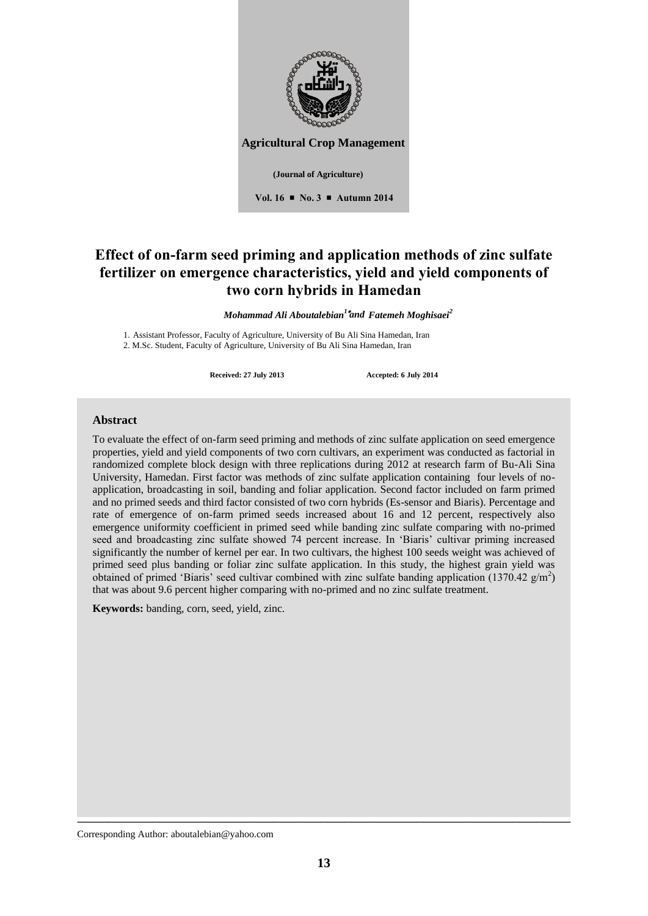

**Agricultural Crop Management** 

**Vol. 16 No. 3 Autumn 2014**

# **Effect of on-farm seed priming and application methods of zinc sulfate fertilizer on emergence characteristics, yield and yield components of two corn hybrids in Hamedan**

*Mohammad Ali Aboutalebian<sup>1</sup> Fatemeh Moghisaei<sup>2</sup> and*

1. Assistant Professor, Faculty of Agriculture, University of Bu Ali Sina Hamedan, Iran 2. M.Sc. Student, Faculty of Agriculture, University of Bu Ali Sina Hamedan, Iran

**Received: 27 July 2013 Accepted: 6 July 2014**

### **Abstract**

To evaluate the effect of on-farm seed priming and methods of zinc sulfate application on seed emergence properties, yield and yield components of two corn cultivars, an experiment was conducted as factorial in randomized complete block design with three replications during 2012 at research farm of Bu-Ali Sina University, Hamedan. First factor was methods of zinc sulfate application containing four levels of noapplication, broadcasting in soil, banding and foliar application. Second factor included on farm primed and no primed seeds and third factor consisted of two corn hybrids (Es-sensor and Biaris). Percentage and rate of emergence of on-farm primed seeds increased about 16 and 12 percent, respectively also emergence uniformity coefficient in primed seed while banding zinc sulfate comparing with no-primed seed and broadcasting zinc sulfate showed 74 percent increase. In 'Biaris' cultivar priming increased significantly the number of kernel per ear. In two cultivars, the highest 100 seeds weight was achieved of primed seed plus banding or foliar zinc sulfate application. In this study, the highest grain yield was obtained of primed 'Biaris' seed cultivar combined with zinc sulfate banding application (1370.42  $g/m<sup>2</sup>$ ) that was about 9.6 percent higher comparing with no-primed and no zinc sulfate treatment.

**Keywords:** banding, corn, seed, yield, zinc.

ــــــــــــــــــــــــــــــــــــــــــــــــــــــــــــــــــــــــــــــــــــــــــــــــــــــــــــــــــــــــــــــــــــــــــــــــ Corresponding Author: aboutalebian@yahoo.com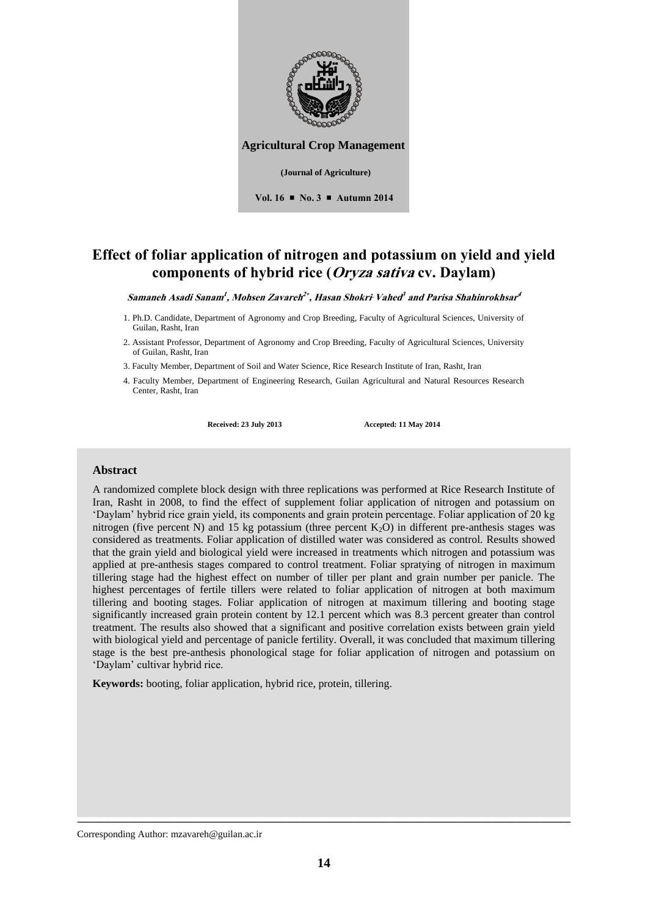

# **Effect of foliar application of nitrogen and potassium on yield and yield components of hybrid rice (Oryza sativa cv. Daylam)**

 $\boldsymbol{\mathit{Samaneh\textit{ Asadi Samam}}}, \boldsymbol{\mathit{Mohsen\textit{ Zavareh}}^{2*}, \boldsymbol{\mathit{Hasan\textit{ ShokriVahed}}^{3}}$  and Parisa Shahinrokhsar $^{4}}$ 

- 1. Ph.D. Candidate, Department of Agronomy and Crop Breeding, Faculty of Agricultural Sciences, University of Guilan, Rasht, Iran
- 2. Assistant Professor, Department of Agronomy and Crop Breeding, Faculty of Agricultural Sciences, University of Guilan, Rasht, Iran

3. Faculty Member, Department of Soil and Water Science, Rice Research Institute of Iran, Rasht, Iran

4. Faculty Member, Department of Engineering Research, Guilan Agricultural and Natural Resources Research Center, Rasht, Iran

**Received: 23 July 2013 Accepted: 11 May 2014**

### **Abstract**

A randomized complete block design with three replications was performed at Rice Research Institute of Iran, Rasht in 2008, to find the effect of supplement foliar application of nitrogen and potassium on 'Daylam' hybrid rice grain yield, its components and grain protein percentage. Foliar application of 20 kg nitrogen (five percent N) and 15 kg potassium (three percent  $K_2O$ ) in different pre-anthesis stages was considered as treatments. Foliar application of distilled water was considered as control. Results showed that the grain yield and biological yield were increased in treatments which nitrogen and potassium was applied at pre-anthesis stages compared to control treatment. Foliar spratying of nitrogen in maximum tillering stage had the highest effect on number of tiller per plant and grain number per panicle. The highest percentages of fertile tillers were related to foliar application of nitrogen at both maximum tillering and booting stages. Foliar application of nitrogen at maximum tillering and booting stage significantly increased grain protein content by 12.1 percent which was 8.3 percent greater than control treatment. The results also showed that a significant and positive correlation exists between grain yield with biological yield and percentage of panicle fertility. Overall, it was concluded that maximum tillering stage is the best pre-anthesis phonological stage for foliar application of nitrogen and potassium on 'Daylam' cultivar hybrid rice.

**Keywords:** booting, foliar application, hybrid rice, protein, tillering.

Corresponding Author: mzavareh@guilan.ac.ir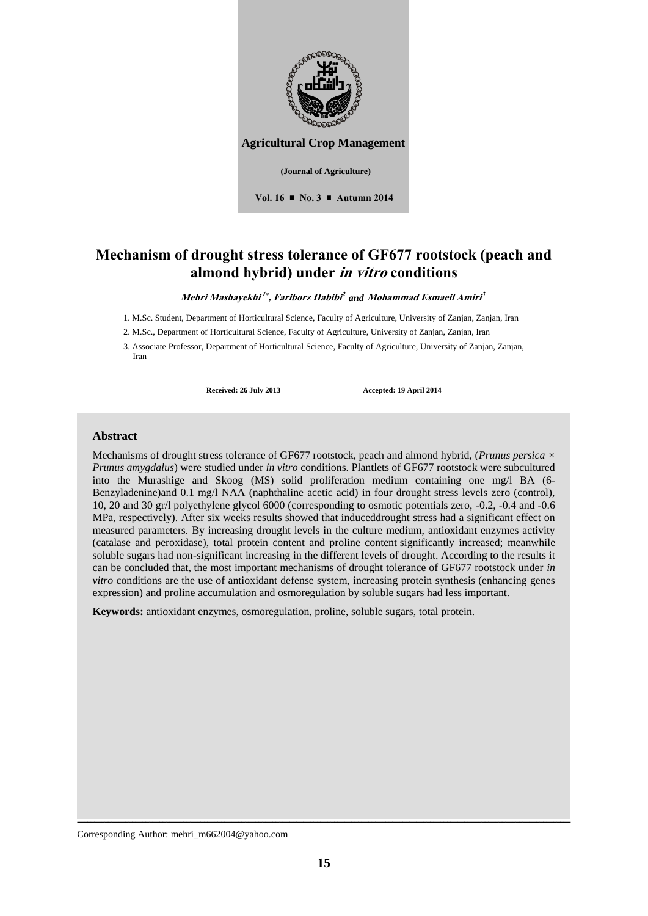

# **Mechanism of drought stress tolerance of GF677 rootstock (peach and almond hybrid) under in vitro conditions**

#### $\bm{M}$ ehri  $\bm{M}$ ashayekhi $^{1*}$ , Fariborz Habibi $^2$  and  $\bm{M}$ ohammad Esmaeil Amiri $^3$

1. M.Sc. Student, Department of Horticultural Science, Faculty of Agriculture, University of Zanjan, Zanjan, Iran

2. M.Sc., Department of Horticultural Science, Faculty of Agriculture, University of Zanjan, Zanjan, Iran

3. Associate Professor, Department of Horticultural Science, Faculty of Agriculture, University of Zanjan, Zanjan, Iran

Received: 26 July 2013 **Accepted: 19 April 2014** 

### **Abstract**

Mechanisms of drought stress tolerance of GF677 rootstock, peach and almond hybrid, (*Prunus persica × Prunus amygdalus*) were studied under *in vitro* conditions. Plantlets of GF677 rootstock were subcultured into the Murashige and Skoog (MS) solid proliferation medium containing one mg/l BA (6- Benzyladenine)and 0.1 mg/l NAA (naphthaline acetic acid) in four drought stress levels zero (control), 10, 20 and 30 gr/l polyethylene glycol 6000 (corresponding to osmotic potentials zero, -0.2, -0.4 and -0.6 MPa, respectively). After six weeks results showed that induceddrought stress had a significant effect on measured parameters. By increasing drought levels in the culture medium, antioxidant enzymes activity (catalase and peroxidase), total protein content and proline content significantly increased; meanwhile soluble sugars had non-significant increasing in the different levels of drought. According to the results it can be concluded that, the most important mechanisms of drought tolerance of GF677 rootstock under *in vitro* conditions are the use of antioxidant defense system, increasing protein synthesis (enhancing genes expression) and proline accumulation and osmoregulation by soluble sugars had less important.

**Keywords:** antioxidant enzymes, osmoregulation, proline, soluble sugars, total protein.

Corresponding Author: mehri\_m662004@yahoo.com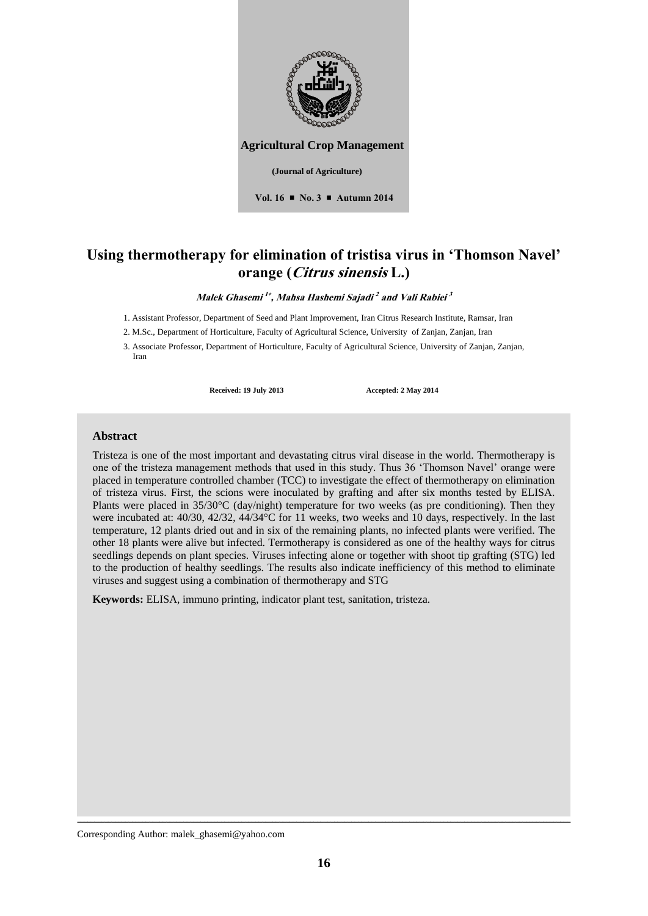

**Agricultural Crop Management** 

**(Journal of Agriculture)** 

**Vol. 16 No. 3 Autumn 2014**

# **Using thermotherapy for elimination of tristisa virus in 'Thomson Navel' orange (Citrus sinensis L.)**

**Malek Ghasemi 1 , Mahsa Hashemi Sajadi 2 and Vali Rabiei 3**

1. Assistant Professor, Department of Seed and Plant Improvement, Iran Citrus Research Institute, Ramsar, Iran

2. M.Sc., Department of Horticulture, Faculty of Agricultural Science, University of Zanjan, Zanjan, Iran

3. Associate Professor, Department of Horticulture, Faculty of Agricultural Science, University of Zanjan, Zanjan, Iran

**Received: 19 July 2013 Accepted: 2 May 2014**

### **Abstract**

Tristeza is one of the most important and devastating citrus viral disease in the world. Thermotherapy is one of the tristeza management methods that used in this study. Thus 36 'Thomson Navel' orange were placed in temperature controlled chamber (TCC) to investigate the effect of thermotherapy on elimination of tristeza virus. First, the scions were inoculated by grafting and after six months tested by ELISA. Plants were placed in 35/30°C (day/night) temperature for two weeks (as pre conditioning). Then they were incubated at: 40/30, 42/32, 44/34°C for 11 weeks, two weeks and 10 days, respectively. In the last temperature, 12 plants dried out and in six of the remaining plants, no infected plants were verified. The other 18 plants were alive but infected. Termotherapy is considered as one of the healthy ways for citrus seedlings depends on plant species. Viruses infecting alone or together with shoot tip grafting (STG) led to the production of healthy seedlings. The results also indicate inefficiency of this method to eliminate viruses and suggest using a combination of thermotherapy and STG

**Keywords:** ELISA, immuno printing, indicator plant test, sanitation, tristeza.

Corresponding Author: malek\_ghasemi@yahoo.com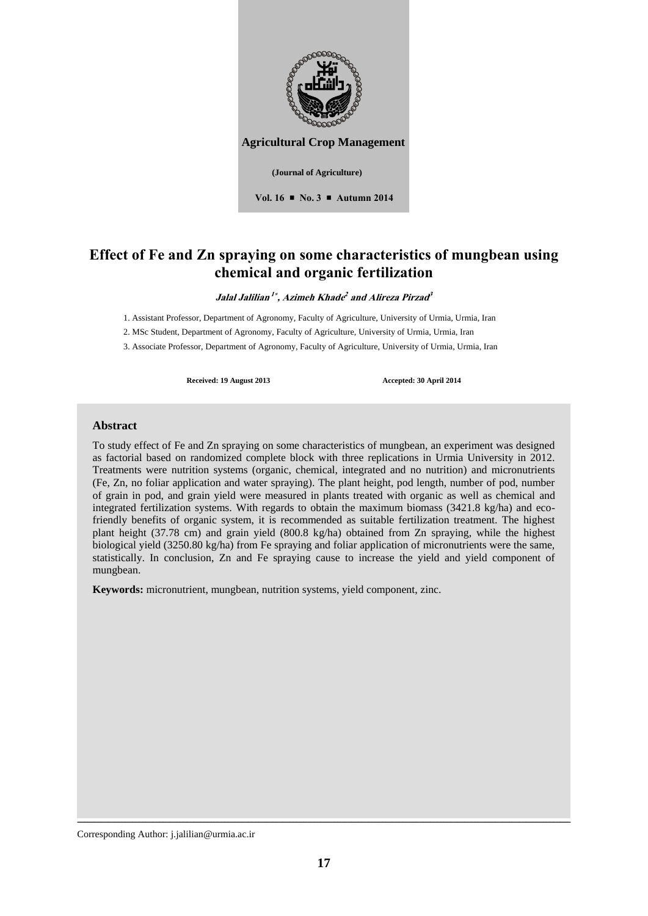

# **Effect of Fe and Zn spraying on some characteristics of mungbean using chemical and organic fertilization**

 $J$ alal  $J$ alilian  $^{1*}$ , Azimeh Khade<sup>2</sup> and Alireza Pirzad<sup>3</sup>

1. Assistant Professor, Department of Agronomy, Faculty of Agriculture, University of Urmia, Urmia, Iran

2. MSc Student, Department of Agronomy, Faculty of Agriculture, University of Urmia, Urmia, Iran

3. Associate Professor, Department of Agronomy, Faculty of Agriculture, University of Urmia, Urmia, Iran

Received: 19 August 2013 **Accepted: 30 April 2014** 

### **Abstract**

To study effect of Fe and Zn spraying on some characteristics of mungbean, an experiment was designed as factorial based on randomized complete block with three replications in Urmia University in 2012. Treatments were nutrition systems (organic, chemical, integrated and no nutrition) and micronutrients (Fe, Zn, no foliar application and water spraying). The plant height, pod length, number of pod, number of grain in pod, and grain yield were measured in plants treated with organic as well as chemical and integrated fertilization systems. With regards to obtain the maximum biomass (3421.8 kg/ha) and ecofriendly benefits of organic system, it is recommended as suitable fertilization treatment. The highest plant height (37.78 cm) and grain yield (800.8 kg/ha) obtained from Zn spraying, while the highest biological yield (3250.80 kg/ha) from Fe spraying and foliar application of micronutrients were the same, statistically. In conclusion, Zn and Fe spraying cause to increase the yield and yield component of mungbean.

**Keywords:** micronutrient, mungbean, nutrition systems, yield component, zinc.

Corresponding Author: j.jalilian@urmia.ac.ir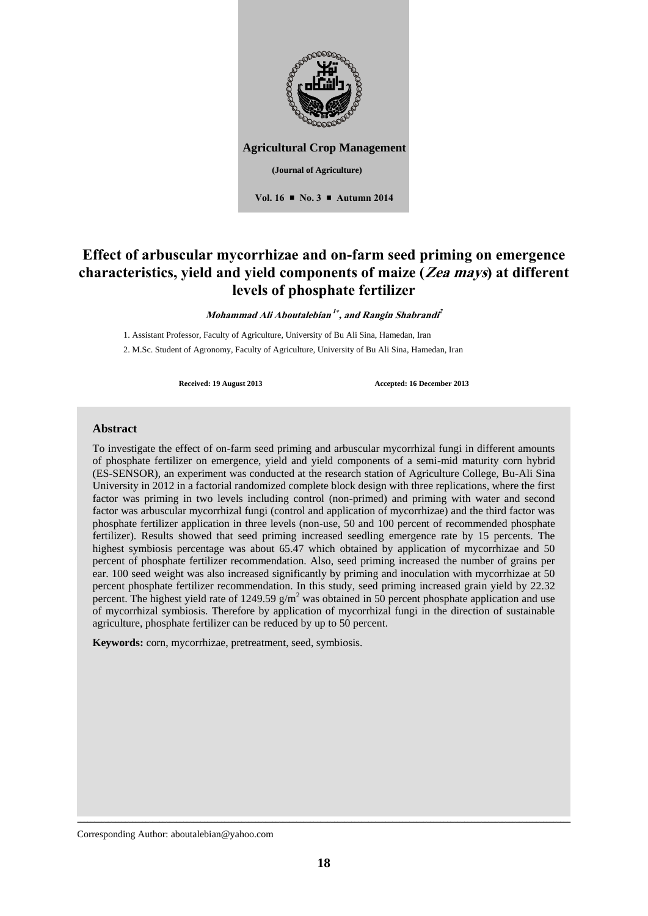

**Vol. 16 No. 3 Autumn 2014**

# **Effect of arbuscular mycorrhizae and on-farm seed priming on emergence characteristics, yield and yield components of maize (Zea mays) at different levels of phosphate fertilizer**

**Mohammad Ali Aboutalebian 1 , and Rangin Shabrandi 2**

1. Assistant Professor, Faculty of Agriculture, University of Bu Ali Sina, Hamedan, Iran 2. M.Sc. Student of Agronomy, Faculty of Agriculture, University of Bu Ali Sina, Hamedan, Iran

**Received: 19 August 2013 Accepted: 16 December 2013**

### **Abstract**

To investigate the effect of on-farm seed priming and arbuscular mycorrhizal fungi in different amounts of phosphate fertilizer on emergence, yield and yield components of a semi-mid maturity corn hybrid (ES-SENSOR), an experiment was conducted at the research station of Agriculture College, Bu-Ali Sina University in 2012 in a factorial randomized complete block design with three replications, where the first factor was priming in two levels including control (non-primed) and priming with water and second factor was arbuscular mycorrhizal fungi (control and application of mycorrhizae) and the third factor was phosphate fertilizer application in three levels (non-use, 50 and 100 percent of recommended phosphate fertilizer). Results showed that seed priming increased seedling emergence rate by 15 percents. The highest symbiosis percentage was about 65.47 which obtained by application of mycorrhizae and 50 percent of phosphate fertilizer recommendation. Also, seed priming increased the number of grains per ear. 100 seed weight was also increased significantly by priming and inoculation with mycorrhizae at 50 percent phosphate fertilizer recommendation. In this study, seed priming increased grain yield by 22.32 percent. The highest yield rate of 1249.59  $g/m^2$  was obtained in 50 percent phosphate application and use of mycorrhizal symbiosis. Therefore by application of mycorrhizal fungi in the direction of sustainable agriculture, phosphate fertilizer can be reduced by up to 50 percent.

**Keywords:** corn, mycorrhizae, pretreatment, seed, symbiosis.

Corresponding Author: aboutalebian@yahoo.com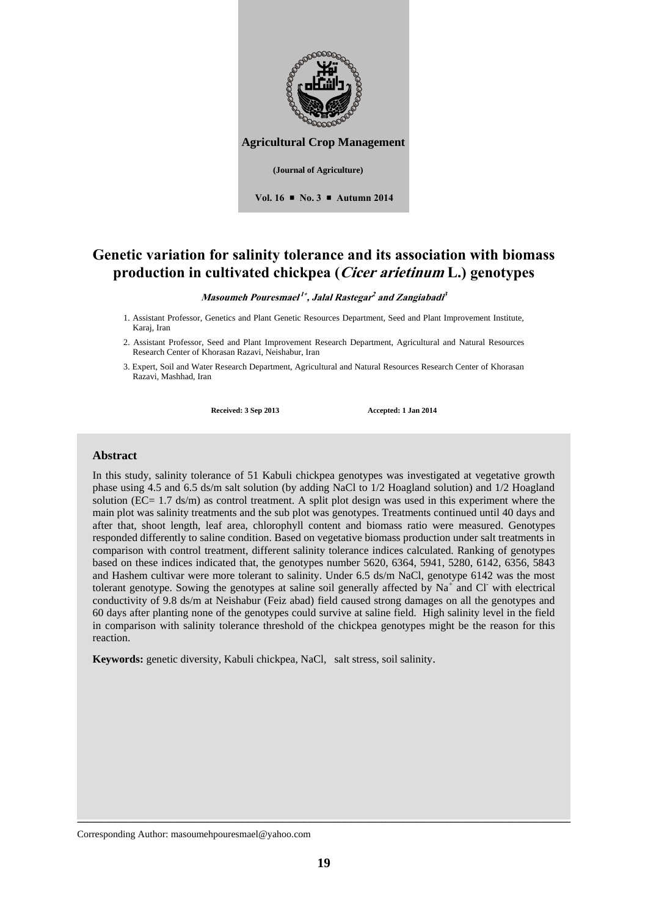

**Vol. 16 No. 3 Autumn 2014**

**Genetic variation for salinity tolerance and its association with biomass production in cultivated chickpea (Cicer arietinum L.) genotypes**

**Masoumeh Pouresmael 1 , Jalal Rastegar 2 and Zangiabadi 3**

- 1. Assistant Professor, Genetics and Plant Genetic Resources Department, Seed and Plant Improvement Institute, Karaj, Iran
- 2. Assistant Professor, Seed and Plant Improvement Research Department, Agricultural and Natural Resources Research Center of Khorasan Razavi, Neishabur, Iran
- 3. Expert, Soil and Water Research Department, Agricultural and Natural Resources Research Center of Khorasan Razavi, Mashhad, Iran

**Received: 3 Sep 2013 Accepted: 1 Jan 2014**

### **Abstract**

In this study, salinity tolerance of 51 Kabuli chickpea genotypes was investigated at vegetative growth phase using 4.5 and 6.5 ds/m salt solution (by adding NaCl to 1/2 Hoagland solution) and 1/2 Hoagland solution (EC= 1.7 ds/m) as control treatment. A split plot design was used in this experiment where the main plot was salinity treatments and the sub plot was genotypes. Treatments continued until 40 days and after that, shoot length, leaf area, chlorophyll content and biomass ratio were measured. Genotypes responded differently to saline condition. Based on vegetative biomass production under salt treatments in comparison with control treatment, different salinity tolerance indices calculated. Ranking of genotypes based on these indices indicated that, the genotypes number 5620, 6364, 5941, 5280, 6142, 6356, 5843 and Hashem cultivar were more tolerant to salinity. Under 6.5 ds/m NaCl, genotype 6142 was the most tolerant genotype. Sowing the genotypes at saline soil generally affected by  $Na<sup>+</sup>$  and Cl with electrical conductivity of 9.8 ds/m at Neishabur (Feiz abad) field caused strong damages on all the genotypes and 60 days after planting none of the genotypes could survive at saline field. High salinity level in the field in comparison with salinity tolerance threshold of the chickpea genotypes might be the reason for this reaction.

**Keywords:** genetic diversity, Kabuli chickpea, NaCl, salt stress, soil salinity.

Corresponding Author: masoumehpouresmael@yahoo.com